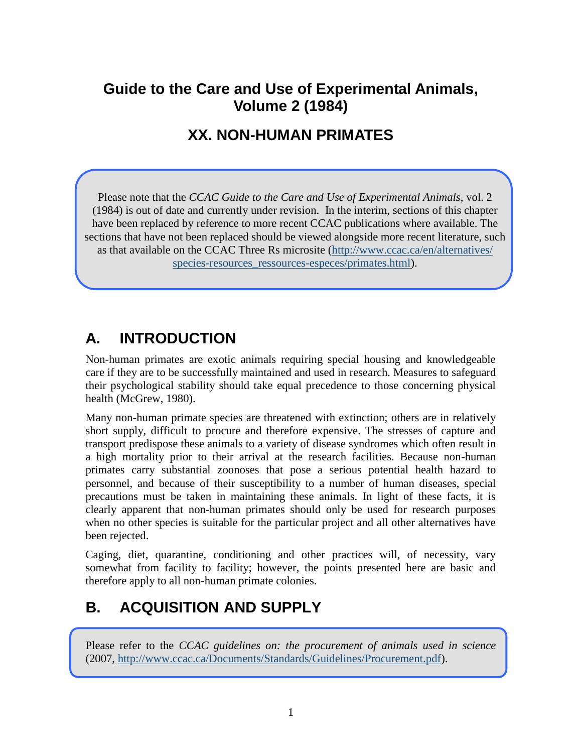## **Guide to the Care and Use of Experimental Animals, Volume 2 (1984)**

## **XX. NON-HUMAN PRIMATES**

Please note that the *CCAC Guide to the Care and Use of Experimental Animals*, vol. 2 (1984) is out of date and currently under revision. In the interim, sections of this chapter have been replaced by reference to more recent CCAC publications where available. The sections that have not been replaced should be viewed alongside more recent literature, such as that available on the CCAC Three Rs microsite [\(http://www.ccac.ca/en/alternatives/](http://www.ccac.ca/en/alternatives/species-resources_ressources-especes/primates.html) species-resources ressources-especes/primates.html).

# **A. INTRODUCTION**

Non-human primates are exotic animals requiring special housing and knowledgeable care if they are to be successfully maintained and used in research. Measures to safeguard their psychological stability should take equal precedence to those concerning physical health (McGrew, 1980).

Many non-human primate species are threatened with extinction; others are in relatively short supply, difficult to procure and therefore expensive. The stresses of capture and transport predispose these animals to a variety of disease syndromes which often result in a high mortality prior to their arrival at the research facilities. Because non-human primates carry substantial zoonoses that pose a serious potential health hazard to personnel, and because of their susceptibility to a number of human diseases, special precautions must be taken in maintaining these animals. In light of these facts, it is clearly apparent that non-human primates should only be used for research purposes when no other species is suitable for the particular project and all other alternatives have been rejected.

Caging, diet, quarantine, conditioning and other practices will, of necessity, vary somewhat from facility to facility; however, the points presented here are basic and therefore apply to all non-human primate colonies.

# **B. ACQUISITION AND SUPPLY**

Please refer to the *CCAC guidelines on: the procurement of animals used in science* (2007, [http://www.ccac.ca/Documents/Standards/Guidelines/Procurement.pdf\)](http://www.ccac.ca/Documents/Standards/Guidelines/Procurement.pdf).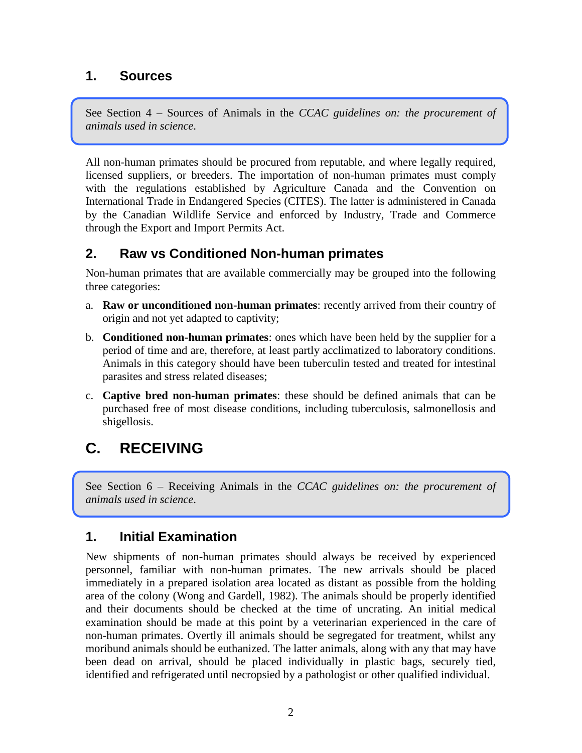#### **1. Sources**

See Section 4 – Sources of Animals in the *CCAC guidelines on: the procurement of animals used in science*.

All non-human primates should be procured from reputable, and where legally required, licensed suppliers, or breeders. The importation of non-human primates must comply with the regulations established by Agriculture Canada and the Convention on International Trade in Endangered Species (CITES). The latter is administered in Canada by the Canadian Wildlife Service and enforced by Industry, Trade and Commerce through the Export and Import Permits Act.

#### **2. Raw vs Conditioned Non-human primates**

Non-human primates that are available commercially may be grouped into the following three categories:

- a. **Raw or unconditioned non-human primates**: recently arrived from their country of origin and not yet adapted to captivity;
- b. **Conditioned non-human primates**: ones which have been held by the supplier for a period of time and are, therefore, at least partly acclimatized to laboratory conditions. Animals in this category should have been tuberculin tested and treated for intestinal parasites and stress related diseases;
- c. **Captive bred non-human primates**: these should be defined animals that can be purchased free of most disease conditions, including tuberculosis, salmonellosis and shigellosis.

# **C. RECEIVING**

See Section 6 – Receiving Animals in the *CCAC guidelines on: the procurement of animals used in science*.

#### **1. Initial Examination**

New shipments of non-human primates should always be received by experienced personnel, familiar with non-human primates. The new arrivals should be placed immediately in a prepared isolation area located as distant as possible from the holding area of the colony (Wong and Gardell, 1982). The animals should be properly identified and their documents should be checked at the time of uncrating. An initial medical examination should be made at this point by a veterinarian experienced in the care of non-human primates. Overtly ill animals should be segregated for treatment, whilst any moribund animals should be euthanized. The latter animals, along with any that may have been dead on arrival, should be placed individually in plastic bags, securely tied, identified and refrigerated until necropsied by a pathologist or other qualified individual.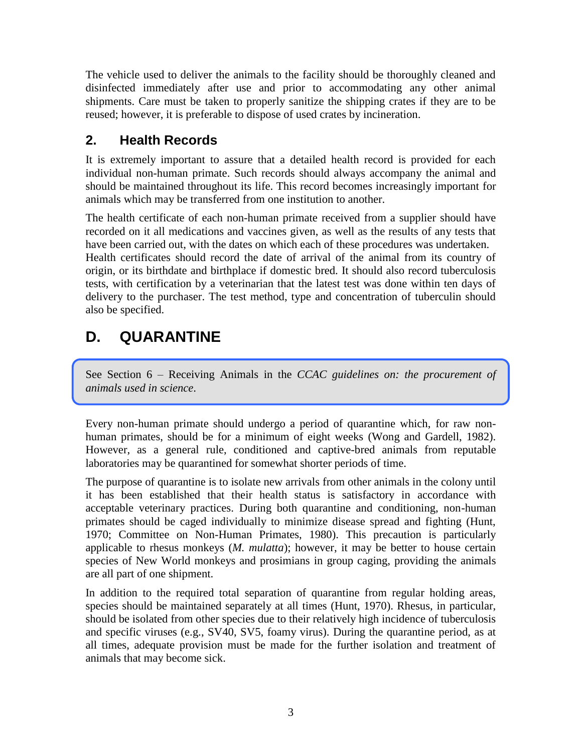The vehicle used to deliver the animals to the facility should be thoroughly cleaned and disinfected immediately after use and prior to accommodating any other animal shipments. Care must be taken to properly sanitize the shipping crates if they are to be reused; however, it is preferable to dispose of used crates by incineration.

## **2. Health Records**

It is extremely important to assure that a detailed health record is provided for each individual non-human primate. Such records should always accompany the animal and should be maintained throughout its life. This record becomes increasingly important for animals which may be transferred from one institution to another.

The health certificate of each non-human primate received from a supplier should have recorded on it all medications and vaccines given, as well as the results of any tests that have been carried out, with the dates on which each of these procedures was undertaken. Health certificates should record the date of arrival of the animal from its country of origin, or its birthdate and birthplace if domestic bred. It should also record tuberculosis tests, with certification by a veterinarian that the latest test was done within ten days of delivery to the purchaser. The test method, type and concentration of tuberculin should also be specified.

# **D. QUARANTINE**

See Section 6 – Receiving Animals in the *CCAC guidelines on: the procurement of animals used in science*.

Every non-human primate should undergo a period of quarantine which, for raw nonhuman primates, should be for a minimum of eight weeks (Wong and Gardell, 1982). However, as a general rule, conditioned and captive-bred animals from reputable laboratories may be quarantined for somewhat shorter periods of time.

The purpose of quarantine is to isolate new arrivals from other animals in the colony until it has been established that their health status is satisfactory in accordance with acceptable veterinary practices. During both quarantine and conditioning, non-human primates should be caged individually to minimize disease spread and fighting (Hunt, 1970; Committee on Non-Human Primates, 1980). This precaution is particularly applicable to rhesus monkeys (*M. mulatta*); however, it may be better to house certain species of New World monkeys and prosimians in group caging, providing the animals are all part of one shipment.

In addition to the required total separation of quarantine from regular holding areas, species should be maintained separately at all times (Hunt, 1970). Rhesus, in particular, should be isolated from other species due to their relatively high incidence of tuberculosis and specific viruses (e.g., SV40, SV5, foamy virus). During the quarantine period, as at all times, adequate provision must be made for the further isolation and treatment of animals that may become sick.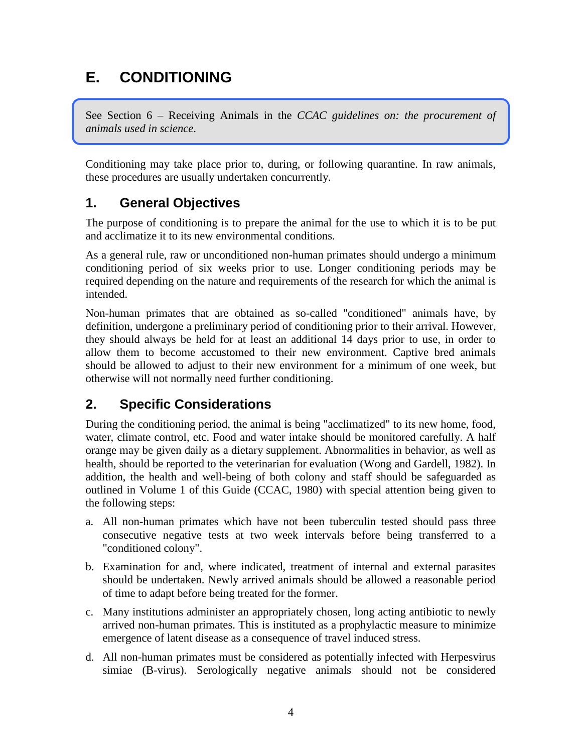# **E. CONDITIONING**

See Section 6 – Receiving Animals in the *CCAC guidelines on: the procurement of animals used in science*.

Conditioning may take place prior to, during, or following quarantine. In raw animals, these procedures are usually undertaken concurrently.

#### **1. General Objectives**

The purpose of conditioning is to prepare the animal for the use to which it is to be put and acclimatize it to its new environmental conditions.

As a general rule, raw or unconditioned non-human primates should undergo a minimum conditioning period of six weeks prior to use. Longer conditioning periods may be required depending on the nature and requirements of the research for which the animal is intended.

Non-human primates that are obtained as so-called "conditioned" animals have, by definition, undergone a preliminary period of conditioning prior to their arrival. However, they should always be held for at least an additional 14 days prior to use, in order to allow them to become accustomed to their new environment. Captive bred animals should be allowed to adjust to their new environment for a minimum of one week, but otherwise will not normally need further conditioning.

## **2. Specific Considerations**

During the conditioning period, the animal is being "acclimatized" to its new home, food, water, climate control, etc. Food and water intake should be monitored carefully. A half orange may be given daily as a dietary supplement. Abnormalities in behavior, as well as health, should be reported to the veterinarian for evaluation (Wong and Gardell, 1982). In addition, the health and well-being of both colony and staff should be safeguarded as outlined in Volume 1 of this Guide (CCAC, 1980) with special attention being given to the following steps:

- a. All non-human primates which have not been tuberculin tested should pass three consecutive negative tests at two week intervals before being transferred to a "conditioned colony".
- b. Examination for and, where indicated, treatment of internal and external parasites should be undertaken. Newly arrived animals should be allowed a reasonable period of time to adapt before being treated for the former.
- c. Many institutions administer an appropriately chosen, long acting antibiotic to newly arrived non-human primates. This is instituted as a prophylactic measure to minimize emergence of latent disease as a consequence of travel induced stress.
- d. All non-human primates must be considered as potentially infected with Herpesvirus simiae (B-virus). Serologically negative animals should not be considered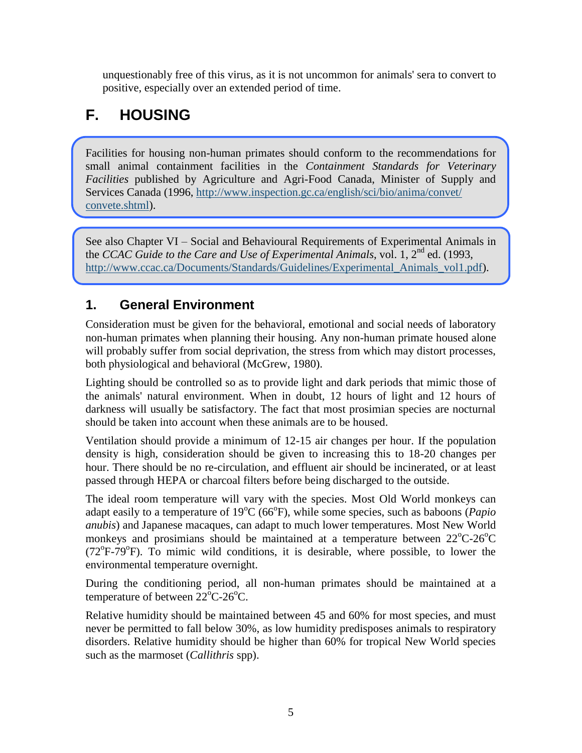unquestionably free of this virus, as it is not uncommon for animals' sera to convert to positive, especially over an extended period of time.

# **F. HOUSING**

Facilities for housing non-human primates should conform to the recommendations for small animal containment facilities in the *Containment Standards for Veterinary Facilities* published by Agriculture and Agri-Food Canada, Minister of Supply and Services Canada (1996, [http://www.inspection.gc.ca/english/sci/bio/anima/convet/](http://www.inspection.gc.ca/english/sci/bio/anima/convet/convete.shtml) [convete.shtml\)](http://www.inspection.gc.ca/english/sci/bio/anima/convet/convete.shtml).

See also Chapter VI – Social and Behavioural Requirements of Experimental Animals in the *CCAC Guide to the Care and Use of Experimental Animals*, vol. 1, 2<sup>nd</sup> ed. (1993, [http://www.ccac.ca/Documents/Standards/Guidelines/Experimental\\_Animals\\_vol1.pdf\)](http://www.ccac.ca/Documents/Standards/Guidelines/Experimental_Animals_vol1.pdf).

#### **1. General Environment**

Consideration must be given for the behavioral, emotional and social needs of laboratory non-human primates when planning their housing. Any non-human primate housed alone will probably suffer from social deprivation, the stress from which may distort processes, both physiological and behavioral (McGrew, 1980).

Lighting should be controlled so as to provide light and dark periods that mimic those of the animals' natural environment. When in doubt, 12 hours of light and 12 hours of darkness will usually be satisfactory. The fact that most prosimian species are nocturnal should be taken into account when these animals are to be housed.

Ventilation should provide a minimum of 12-15 air changes per hour. If the population density is high, consideration should be given to increasing this to 18-20 changes per hour. There should be no re-circulation, and effluent air should be incinerated, or at least passed through HEPA or charcoal filters before being discharged to the outside.

The ideal room temperature will vary with the species. Most Old World monkeys can adapt easily to a temperature of 19<sup>o</sup>C (66<sup>o</sup>F), while some species, such as baboons (*Papio anubis*) and Japanese macaques, can adapt to much lower temperatures. Most New World monkeys and prosimians should be maintained at a temperature between  $22^{\circ}$ C-26<sup>o</sup>C  $(72^{\circ}F - 79^{\circ}F)$ . To mimic wild conditions, it is desirable, where possible, to lower the environmental temperature overnight.

During the conditioning period, all non-human primates should be maintained at a temperature of between  $22^{\circ}$ C-26 $^{\circ}$ C.

Relative humidity should be maintained between 45 and 60% for most species, and must never be permitted to fall below 30%, as low humidity predisposes animals to respiratory disorders. Relative humidity should be higher than 60% for tropical New World species such as the marmoset (*Callithris* spp).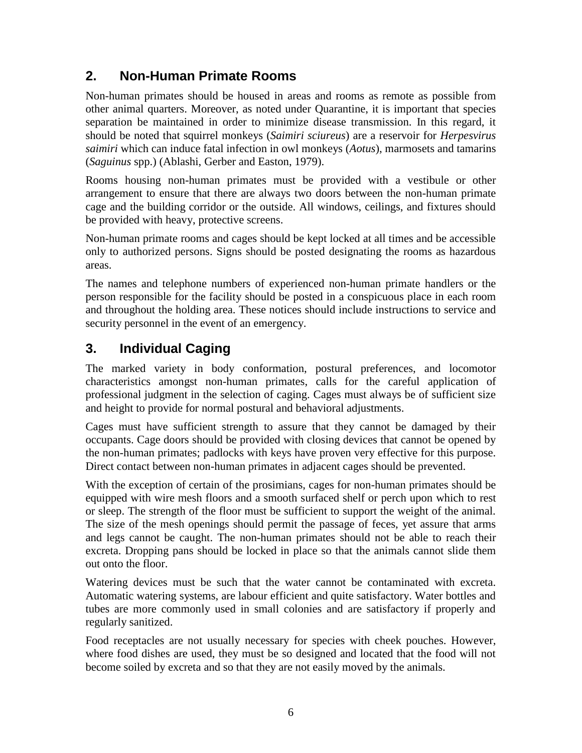#### **2. Non-Human Primate Rooms**

Non-human primates should be housed in areas and rooms as remote as possible from other animal quarters. Moreover, as noted under Quarantine, it is important that species separation be maintained in order to minimize disease transmission. In this regard, it should be noted that squirrel monkeys (*Saimiri sciureus*) are a reservoir for *Herpesvirus saimiri* which can induce fatal infection in owl monkeys (*Aotus*), marmosets and tamarins (*Saguinus* spp.) (Ablashi, Gerber and Easton, 1979).

Rooms housing non-human primates must be provided with a vestibule or other arrangement to ensure that there are always two doors between the non-human primate cage and the building corridor or the outside. All windows, ceilings, and fixtures should be provided with heavy, protective screens.

Non-human primate rooms and cages should be kept locked at all times and be accessible only to authorized persons. Signs should be posted designating the rooms as hazardous areas.

The names and telephone numbers of experienced non-human primate handlers or the person responsible for the facility should be posted in a conspicuous place in each room and throughout the holding area. These notices should include instructions to service and security personnel in the event of an emergency.

### **3. Individual Caging**

The marked variety in body conformation, postural preferences, and locomotor characteristics amongst non-human primates, calls for the careful application of professional judgment in the selection of caging. Cages must always be of sufficient size and height to provide for normal postural and behavioral adjustments.

Cages must have sufficient strength to assure that they cannot be damaged by their occupants. Cage doors should be provided with closing devices that cannot be opened by the non-human primates; padlocks with keys have proven very effective for this purpose. Direct contact between non-human primates in adjacent cages should be prevented.

With the exception of certain of the prosimians, cages for non-human primates should be equipped with wire mesh floors and a smooth surfaced shelf or perch upon which to rest or sleep. The strength of the floor must be sufficient to support the weight of the animal. The size of the mesh openings should permit the passage of feces, yet assure that arms and legs cannot be caught. The non-human primates should not be able to reach their excreta. Dropping pans should be locked in place so that the animals cannot slide them out onto the floor.

Watering devices must be such that the water cannot be contaminated with excreta. Automatic watering systems, are labour efficient and quite satisfactory. Water bottles and tubes are more commonly used in small colonies and are satisfactory if properly and regularly sanitized.

Food receptacles are not usually necessary for species with cheek pouches. However, where food dishes are used, they must be so designed and located that the food will not become soiled by excreta and so that they are not easily moved by the animals.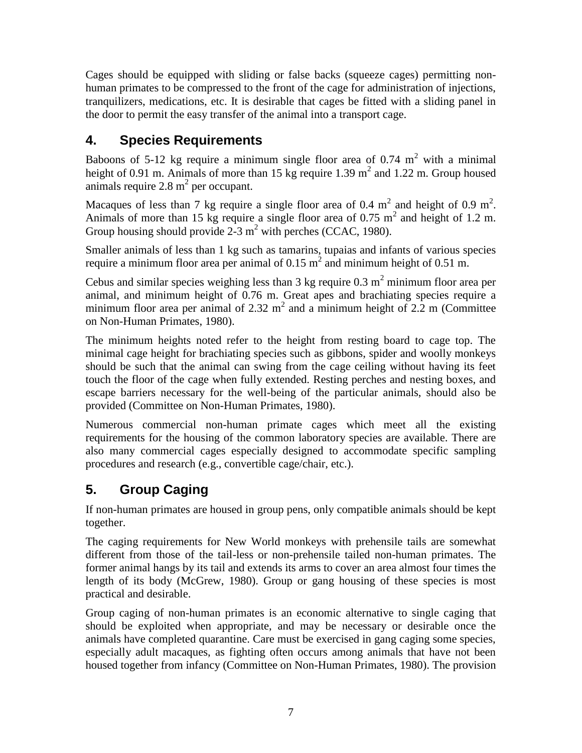Cages should be equipped with sliding or false backs (squeeze cages) permitting nonhuman primates to be compressed to the front of the cage for administration of injections, tranquilizers, medications, etc. It is desirable that cages be fitted with a sliding panel in the door to permit the easy transfer of the animal into a transport cage.

## **4. Species Requirements**

Baboons of 5-12 kg require a minimum single floor area of 0.74  $m<sup>2</sup>$  with a minimal height of 0.91 m. Animals of more than 15 kg require 1.39  $m^2$  and 1.22 m. Group housed animals require  $2.8 \text{ m}^2$  per occupant.

Macaques of less than 7 kg require a single floor area of 0.4  $m^2$  and height of 0.9  $m^2$ . Animals of more than 15 kg require a single floor area of 0.75  $m<sup>2</sup>$  and height of 1.2 m. Group housing should provide  $2-3$  m<sup>2</sup> with perches (CCAC, 1980).

Smaller animals of less than 1 kg such as tamarins, tupaias and infants of various species require a minimum floor area per animal of 0.15  $m^2$  and minimum height of 0.51 m.

Cebus and similar species weighing less than  $3 \text{ kg}$  require  $0.3 \text{ m}^2$  minimum floor area per animal, and minimum height of 0.76 m. Great apes and brachiating species require a minimum floor area per animal of 2.32  $m^2$  and a minimum height of 2.2 m (Committee on Non-Human Primates, 1980).

The minimum heights noted refer to the height from resting board to cage top. The minimal cage height for brachiating species such as gibbons, spider and woolly monkeys should be such that the animal can swing from the cage ceiling without having its feet touch the floor of the cage when fully extended. Resting perches and nesting boxes, and escape barriers necessary for the well-being of the particular animals, should also be provided (Committee on Non-Human Primates, 1980).

Numerous commercial non-human primate cages which meet all the existing requirements for the housing of the common laboratory species are available. There are also many commercial cages especially designed to accommodate specific sampling procedures and research (e.g., convertible cage/chair, etc.).

## **5. Group Caging**

If non-human primates are housed in group pens, only compatible animals should be kept together.

The caging requirements for New World monkeys with prehensile tails are somewhat different from those of the tail-less or non-prehensile tailed non-human primates. The former animal hangs by its tail and extends its arms to cover an area almost four times the length of its body (McGrew, 1980). Group or gang housing of these species is most practical and desirable.

Group caging of non-human primates is an economic alternative to single caging that should be exploited when appropriate, and may be necessary or desirable once the animals have completed quarantine. Care must be exercised in gang caging some species, especially adult macaques, as fighting often occurs among animals that have not been housed together from infancy (Committee on Non-Human Primates, 1980). The provision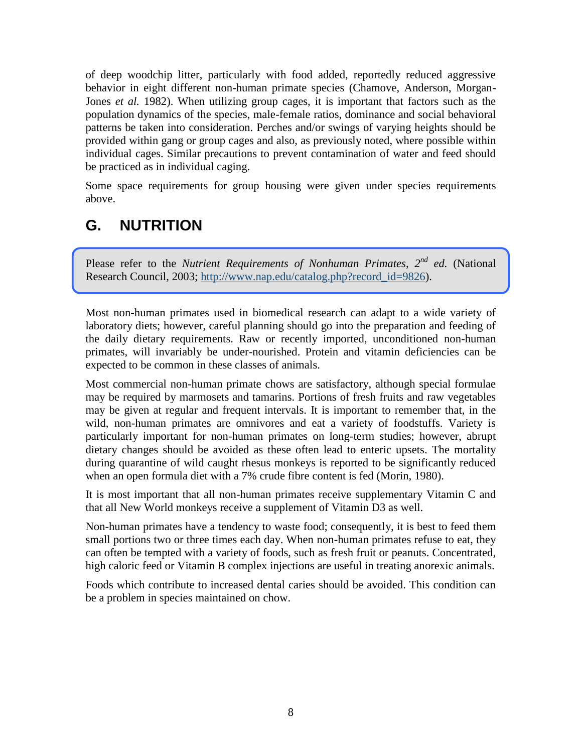of deep woodchip litter, particularly with food added, reportedly reduced aggressive behavior in eight different non-human primate species (Chamove, Anderson, Morgan-Jones *et al.* 1982). When utilizing group cages, it is important that factors such as the population dynamics of the species, male-female ratios, dominance and social behavioral patterns be taken into consideration. Perches and/or swings of varying heights should be provided within gang or group cages and also, as previously noted, where possible within individual cages. Similar precautions to prevent contamination of water and feed should be practiced as in individual caging.

Some space requirements for group housing were given under species requirements above.

# **G. NUTRITION**

Please refer to the *Nutrient Requirements of Nonhuman Primates, 2nd ed.* (National Research Council, 2003; [http://www.nap.edu/catalog.php?record\\_id=9826\)](http://www.nap.edu/catalog.php?record_id=9826).

Most non-human primates used in biomedical research can adapt to a wide variety of laboratory diets; however, careful planning should go into the preparation and feeding of the daily dietary requirements. Raw or recently imported, unconditioned non-human primates, will invariably be under-nourished. Protein and vitamin deficiencies can be expected to be common in these classes of animals.

Most commercial non-human primate chows are satisfactory, although special formulae may be required by marmosets and tamarins. Portions of fresh fruits and raw vegetables may be given at regular and frequent intervals. It is important to remember that, in the wild, non-human primates are omnivores and eat a variety of foodstuffs. Variety is particularly important for non-human primates on long-term studies; however, abrupt dietary changes should be avoided as these often lead to enteric upsets. The mortality during quarantine of wild caught rhesus monkeys is reported to be significantly reduced when an open formula diet with a 7% crude fibre content is fed (Morin, 1980).

It is most important that all non-human primates receive supplementary Vitamin C and that all New World monkeys receive a supplement of Vitamin D3 as well.

Non-human primates have a tendency to waste food; consequently, it is best to feed them small portions two or three times each day. When non-human primates refuse to eat, they can often be tempted with a variety of foods, such as fresh fruit or peanuts. Concentrated, high caloric feed or Vitamin B complex injections are useful in treating anorexic animals.

Foods which contribute to increased dental caries should be avoided. This condition can be a problem in species maintained on chow.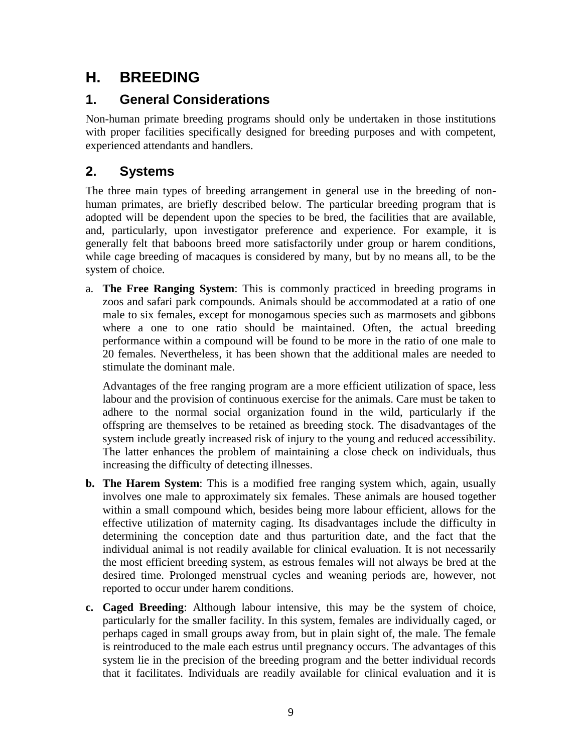# **H. BREEDING**

### **1. General Considerations**

Non-human primate breeding programs should only be undertaken in those institutions with proper facilities specifically designed for breeding purposes and with competent, experienced attendants and handlers.

## **2. Systems**

The three main types of breeding arrangement in general use in the breeding of nonhuman primates, are briefly described below. The particular breeding program that is adopted will be dependent upon the species to be bred, the facilities that are available, and, particularly, upon investigator preference and experience. For example, it is generally felt that baboons breed more satisfactorily under group or harem conditions, while cage breeding of macaques is considered by many, but by no means all, to be the system of choice.

a. **The Free Ranging System**: This is commonly practiced in breeding programs in zoos and safari park compounds. Animals should be accommodated at a ratio of one male to six females, except for monogamous species such as marmosets and gibbons where a one to one ratio should be maintained. Often, the actual breeding performance within a compound will be found to be more in the ratio of one male to 20 females. Nevertheless, it has been shown that the additional males are needed to stimulate the dominant male.

Advantages of the free ranging program are a more efficient utilization of space, less labour and the provision of continuous exercise for the animals. Care must be taken to adhere to the normal social organization found in the wild, particularly if the offspring are themselves to be retained as breeding stock. The disadvantages of the system include greatly increased risk of injury to the young and reduced accessibility. The latter enhances the problem of maintaining a close check on individuals, thus increasing the difficulty of detecting illnesses.

- **b. The Harem System**: This is a modified free ranging system which, again, usually involves one male to approximately six females. These animals are housed together within a small compound which, besides being more labour efficient, allows for the effective utilization of maternity caging. Its disadvantages include the difficulty in determining the conception date and thus parturition date, and the fact that the individual animal is not readily available for clinical evaluation. It is not necessarily the most efficient breeding system, as estrous females will not always be bred at the desired time. Prolonged menstrual cycles and weaning periods are, however, not reported to occur under harem conditions.
- **c. Caged Breeding**: Although labour intensive, this may be the system of choice, particularly for the smaller facility. In this system, females are individually caged, or perhaps caged in small groups away from, but in plain sight of, the male. The female is reintroduced to the male each estrus until pregnancy occurs. The advantages of this system lie in the precision of the breeding program and the better individual records that it facilitates. Individuals are readily available for clinical evaluation and it is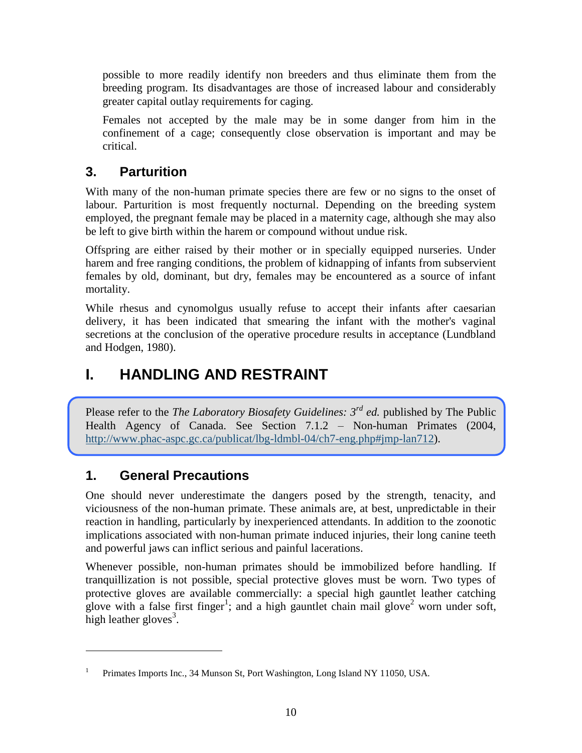possible to more readily identify non breeders and thus eliminate them from the breeding program. Its disadvantages are those of increased labour and considerably greater capital outlay requirements for caging.

Females not accepted by the male may be in some danger from him in the confinement of a cage; consequently close observation is important and may be critical.

#### **3. Parturition**

With many of the non-human primate species there are few or no signs to the onset of labour. Parturition is most frequently nocturnal. Depending on the breeding system employed, the pregnant female may be placed in a maternity cage, although she may also be left to give birth within the harem or compound without undue risk.

Offspring are either raised by their mother or in specially equipped nurseries. Under harem and free ranging conditions, the problem of kidnapping of infants from subservient females by old, dominant, but dry, females may be encountered as a source of infant mortality.

While rhesus and cynomolgus usually refuse to accept their infants after caesarian delivery, it has been indicated that smearing the infant with the mother's vaginal secretions at the conclusion of the operative procedure results in acceptance (Lundbland and Hodgen, 1980).

# **I. HANDLING AND RESTRAINT**

Please refer to the *The Laboratory Biosafety Guidelines:* 3<sup>*rd</sup> ed.* published by The Public</sup> Health Agency of Canada. See Section 7.1.2 – Non-human Primates (2004, [http://www.phac-aspc.gc.ca/publicat/lbg-ldmbl-04/ch7-eng.php#jmp-lan712\)](http://www.phac-aspc.gc.ca/publicat/lbg-ldmbl-04/ch7-eng.php#jmp-lan712).

#### **1. General Precautions**

 $\overline{a}$ 

One should never underestimate the dangers posed by the strength, tenacity, and viciousness of the non-human primate. These animals are, at best, unpredictable in their reaction in handling, particularly by inexperienced attendants. In addition to the zoonotic implications associated with non-human primate induced injuries, their long canine teeth and powerful jaws can inflict serious and painful lacerations.

Whenever possible, non-human primates should be immobilized before handling. If tranquillization is not possible, special protective gloves must be worn. Two types of protective gloves are available commercially: a special high gauntlet leather catching glove with a false first finger<sup>1</sup>; and a high gauntlet chain mail glove<sup>2</sup> worn under soft, high leather gloves<sup>3</sup>.

<sup>1</sup> Primates Imports Inc., 34 Munson St, Port Washington, Long Island NY 11050, USA.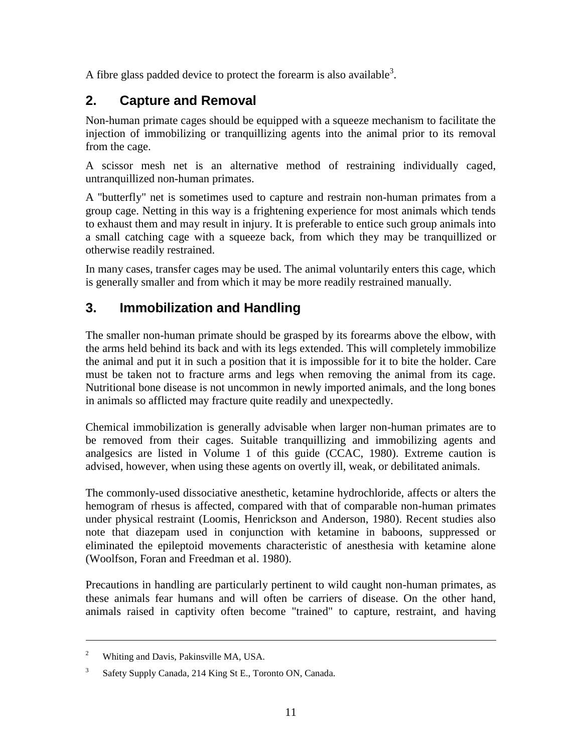A fibre glass padded device to protect the forearm is also available<sup>3</sup>.

#### **2. Capture and Removal**

Non-human primate cages should be equipped with a squeeze mechanism to facilitate the injection of immobilizing or tranquillizing agents into the animal prior to its removal from the cage.

A scissor mesh net is an alternative method of restraining individually caged, untranquillized non-human primates.

A "butterfly" net is sometimes used to capture and restrain non-human primates from a group cage. Netting in this way is a frightening experience for most animals which tends to exhaust them and may result in injury. It is preferable to entice such group animals into a small catching cage with a squeeze back, from which they may be tranquillized or otherwise readily restrained.

In many cases, transfer cages may be used. The animal voluntarily enters this cage, which is generally smaller and from which it may be more readily restrained manually.

### **3. Immobilization and Handling**

The smaller non-human primate should be grasped by its forearms above the elbow, with the arms held behind its back and with its legs extended. This will completely immobilize the animal and put it in such a position that it is impossible for it to bite the holder. Care must be taken not to fracture arms and legs when removing the animal from its cage. Nutritional bone disease is not uncommon in newly imported animals, and the long bones in animals so afflicted may fracture quite readily and unexpectedly.

Chemical immobilization is generally advisable when larger non-human primates are to be removed from their cages. Suitable tranquillizing and immobilizing agents and analgesics are listed in Volume 1 of this guide (CCAC, 1980). Extreme caution is advised, however, when using these agents on overtly ill, weak, or debilitated animals.

The commonly-used dissociative anesthetic, ketamine hydrochloride, affects or alters the hemogram of rhesus is affected, compared with that of comparable non-human primates under physical restraint (Loomis, Henrickson and Anderson, 1980). Recent studies also note that diazepam used in conjunction with ketamine in baboons, suppressed or eliminated the epileptoid movements characteristic of anesthesia with ketamine alone (Woolfson, Foran and Freedman et al. 1980).

Precautions in handling are particularly pertinent to wild caught non-human primates, as these animals fear humans and will often be carriers of disease. On the other hand, animals raised in captivity often become "trained" to capture, restraint, and having

 $\overline{a}$ 

<sup>&</sup>lt;sup>2</sup> Whiting and Davis, Pakinsville MA, USA.

<sup>3</sup> Safety Supply Canada, 214 King St E., Toronto ON, Canada.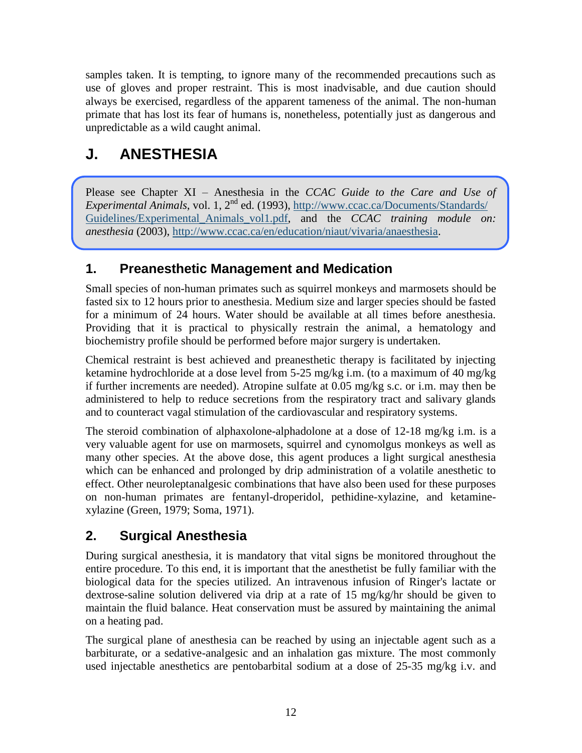samples taken. It is tempting, to ignore many of the recommended precautions such as use of gloves and proper restraint. This is most inadvisable, and due caution should always be exercised, regardless of the apparent tameness of the animal. The non-human primate that has lost its fear of humans is, nonetheless, potentially just as dangerous and unpredictable as a wild caught animal.

# **J. ANESTHESIA**

Please see Chapter XI – Anesthesia in the *CCAC Guide to the Care and Use of Experimental Animals*, vol. 1, 2<sup>nd</sup> ed. (1993), [http://www.ccac.ca/Documents/Standards/](http://www.ccac.ca/Documents/Standards/%0bGuidelines/Experimental_Animals_vol1.pdf) [Guidelines/Experimental\\_Animals\\_vol1.pdf,](http://www.ccac.ca/Documents/Standards/%0bGuidelines/Experimental_Animals_vol1.pdf) and the *CCAC training module on: anesthesia* (2003), [http://www.ccac.ca/en/education/niaut/vivaria/anaesthesia.](http://www.ccac.ca/en/education/niaut/vivaria/anaesthesia)

#### **1. Preanesthetic Management and Medication**

Small species of non-human primates such as squirrel monkeys and marmosets should be fasted six to 12 hours prior to anesthesia. Medium size and larger species should be fasted for a minimum of 24 hours. Water should be available at all times before anesthesia. Providing that it is practical to physically restrain the animal, a hematology and biochemistry profile should be performed before major surgery is undertaken.

Chemical restraint is best achieved and preanesthetic therapy is facilitated by injecting ketamine hydrochloride at a dose level from 5-25 mg/kg i.m. (to a maximum of 40 mg/kg if further increments are needed). Atropine sulfate at 0.05 mg/kg s.c. or i.m. may then be administered to help to reduce secretions from the respiratory tract and salivary glands and to counteract vagal stimulation of the cardiovascular and respiratory systems.

The steroid combination of alphaxolone-alphadolone at a dose of 12-18 mg/kg i.m. is a very valuable agent for use on marmosets, squirrel and cynomolgus monkeys as well as many other species. At the above dose, this agent produces a light surgical anesthesia which can be enhanced and prolonged by drip administration of a volatile anesthetic to effect. Other neuroleptanalgesic combinations that have also been used for these purposes on non-human primates are fentanyl-droperidol, pethidine-xylazine, and ketaminexylazine (Green, 1979; Soma, 1971).

## **2. Surgical Anesthesia**

During surgical anesthesia, it is mandatory that vital signs be monitored throughout the entire procedure. To this end, it is important that the anesthetist be fully familiar with the biological data for the species utilized. An intravenous infusion of Ringer's lactate or dextrose-saline solution delivered via drip at a rate of 15 mg/kg/hr should be given to maintain the fluid balance. Heat conservation must be assured by maintaining the animal on a heating pad.

The surgical plane of anesthesia can be reached by using an injectable agent such as a barbiturate, or a sedative-analgesic and an inhalation gas mixture. The most commonly used injectable anesthetics are pentobarbital sodium at a dose of 25-35 mg/kg i.v. and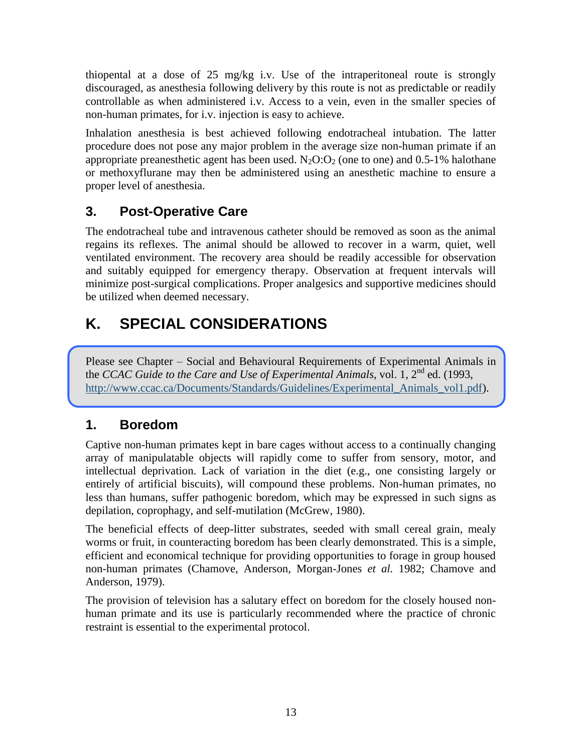thiopental at a dose of 25 mg/kg i.v. Use of the intraperitoneal route is strongly discouraged, as anesthesia following delivery by this route is not as predictable or readily controllable as when administered i.v. Access to a vein, even in the smaller species of non-human primates, for i.v. injection is easy to achieve.

Inhalation anesthesia is best achieved following endotracheal intubation. The latter procedure does not pose any major problem in the average size non-human primate if an appropriate preanesthetic agent has been used.  $N_2O:O_2$  (one to one) and 0.5-1% halothane or methoxyflurane may then be administered using an anesthetic machine to ensure a proper level of anesthesia.

#### **3. Post-Operative Care**

The endotracheal tube and intravenous catheter should be removed as soon as the animal regains its reflexes. The animal should be allowed to recover in a warm, quiet, well ventilated environment. The recovery area should be readily accessible for observation and suitably equipped for emergency therapy. Observation at frequent intervals will minimize post-surgical complications. Proper analgesics and supportive medicines should be utilized when deemed necessary.

# **K. SPECIAL CONSIDERATIONS**

Please see Chapter – Social and Behavioural Requirements of Experimental Animals in the *CCAC Guide to the Care and Use of Experimental Animals*, vol. 1, 2<sup>nd</sup> ed. (1993, http://www.ccac.ca/Documents/Standards/Guidelines/Experimental Animals vol1.pdf).

#### **1. Boredom**

Captive non-human primates kept in bare cages without access to a continually changing array of manipulatable objects will rapidly come to suffer from sensory, motor, and intellectual deprivation. Lack of variation in the diet (e.g., one consisting largely or entirely of artificial biscuits), will compound these problems. Non-human primates, no less than humans, suffer pathogenic boredom, which may be expressed in such signs as depilation, coprophagy, and self-mutilation (McGrew, 1980).

The beneficial effects of deep-litter substrates, seeded with small cereal grain, mealy worms or fruit, in counteracting boredom has been clearly demonstrated. This is a simple, efficient and economical technique for providing opportunities to forage in group housed non-human primates (Chamove, Anderson, Morgan-Jones *et al.* 1982; Chamove and Anderson, 1979).

The provision of television has a salutary effect on boredom for the closely housed nonhuman primate and its use is particularly recommended where the practice of chronic restraint is essential to the experimental protocol.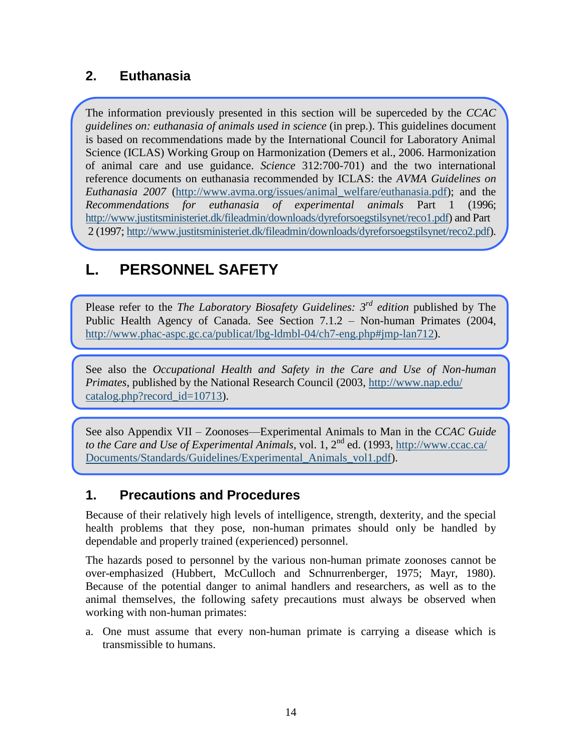#### **2. Euthanasia**

The information previously presented in this section will be superceded by the *CCAC guidelines on: euthanasia of animals used in science* (in prep.). This guidelines document is based on recommendations made by the International Council for Laboratory Animal Science (ICLAS) Working Group on Harmonization (Demers et al., 2006. Harmonization of animal care and use guidance. *Science* 312:700-701) and the two international reference documents on euthanasia recommended by ICLAS: the *AVMA Guidelines on Euthanasia 2007* [\(http://www.avma.org/issues/animal\\_welfare/euthanasia.pdf\)](http://www.avma.org/issues/animal_welfare/euthanasia.pdf); and the *Recommendations for euthanasia of experimental animals* Part 1 (1996; [http://www.justitsministeriet.dk/fileadmin/downloads/dyreforsoegstilsynet/reco1.pdf\)](http://www.justitsministeriet.dk/fileadmin/downloads/dyreforsoegstilsynet/reco1.pdf) and Part 2 (1997; [http://www.justitsministeriet.dk/fileadmin/downloads/dyreforsoegstilsynet/reco2.pdf\)](http://www.justitsministeriet.dk/fileadmin/downloads/dyreforsoegstilsynet/reco2.pdf).

# **L. PERSONNEL SAFETY**

Please refer to the *The Laboratory Biosafety Guidelines: 3rd edition* published by The Public Health Agency of Canada. See Section 7.1.2 – Non-human Primates (2004, [http://www.phac-aspc.gc.ca/publicat/lbg-ldmbl-04/ch7-eng.php#jmp-lan712\)](http://www.phac-aspc.gc.ca/publicat/lbg-ldmbl-04/ch7-eng.php#jmp-lan712).

See also the *Occupational Health and Safety in the Care and Use of Non-human Primates*, published by the National Research Council (2003, [http://www.nap.edu/](http://www.nap.edu/catalog.php?record_id=10713) [catalog.php?record\\_id=10713\)](http://www.nap.edu/catalog.php?record_id=10713).

See also Appendix VII – Zoonoses—Experimental Animals to Man in the *CCAC Guide to the Care and Use of Experimental Animals*, vol. 1, 2nd ed. (1993, [http://www.ccac.ca/](http://www.ccac.ca/%0bDocuments/Standards/Guidelines/Experimental_Animals_vol1.pdf) [Documents/Standards/Guidelines/Experimental\\_Animals\\_vol1.pdf\)](http://www.ccac.ca/%0bDocuments/Standards/Guidelines/Experimental_Animals_vol1.pdf).

#### **1. Precautions and Procedures**

Because of their relatively high levels of intelligence, strength, dexterity, and the special health problems that they pose, non-human primates should only be handled by dependable and properly trained (experienced) personnel.

The hazards posed to personnel by the various non-human primate zoonoses cannot be over-emphasized (Hubbert, McCulloch and Schnurrenberger, 1975; Mayr, 1980). Because of the potential danger to animal handlers and researchers, as well as to the animal themselves, the following safety precautions must always be observed when working with non-human primates:

a. One must assume that every non-human primate is carrying a disease which is transmissible to humans.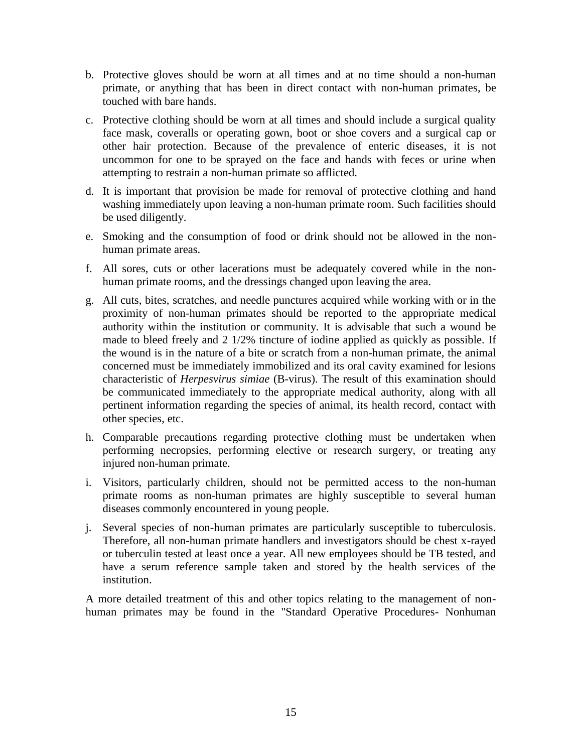- b. Protective gloves should be worn at all times and at no time should a non-human primate, or anything that has been in direct contact with non-human primates, be touched with bare hands.
- c. Protective clothing should be worn at all times and should include a surgical quality face mask, coveralls or operating gown, boot or shoe covers and a surgical cap or other hair protection. Because of the prevalence of enteric diseases, it is not uncommon for one to be sprayed on the face and hands with feces or urine when attempting to restrain a non-human primate so afflicted.
- d. It is important that provision be made for removal of protective clothing and hand washing immediately upon leaving a non-human primate room. Such facilities should be used diligently.
- e. Smoking and the consumption of food or drink should not be allowed in the nonhuman primate areas.
- f. All sores, cuts or other lacerations must be adequately covered while in the nonhuman primate rooms, and the dressings changed upon leaving the area.
- g. All cuts, bites, scratches, and needle punctures acquired while working with or in the proximity of non-human primates should be reported to the appropriate medical authority within the institution or community. It is advisable that such a wound be made to bleed freely and 2 1/2% tincture of iodine applied as quickly as possible. If the wound is in the nature of a bite or scratch from a non-human primate, the animal concerned must be immediately immobilized and its oral cavity examined for lesions characteristic of *Herpesvirus simiae* (B-virus). The result of this examination should be communicated immediately to the appropriate medical authority, along with all pertinent information regarding the species of animal, its health record, contact with other species, etc.
- h. Comparable precautions regarding protective clothing must be undertaken when performing necropsies, performing elective or research surgery, or treating any injured non-human primate.
- i. Visitors, particularly children, should not be permitted access to the non-human primate rooms as non-human primates are highly susceptible to several human diseases commonly encountered in young people.
- j. Several species of non-human primates are particularly susceptible to tuberculosis. Therefore, all non-human primate handlers and investigators should be chest x-rayed or tuberculin tested at least once a year. All new employees should be TB tested, and have a serum reference sample taken and stored by the health services of the institution.

A more detailed treatment of this and other topics relating to the management of nonhuman primates may be found in the "Standard Operative Procedures- Nonhuman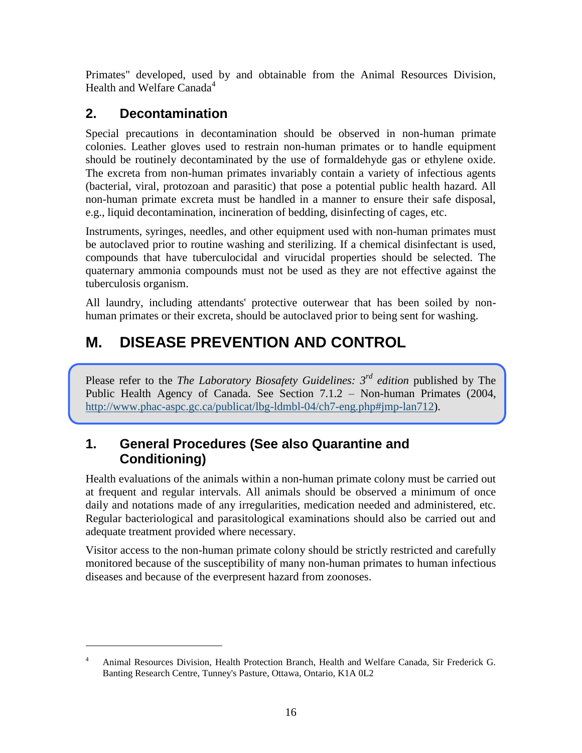Primates" developed, used by and obtainable from the Animal Resources Division, Health and Welfare Canada<sup>4</sup>

## **2. Decontamination**

 $\overline{a}$ 

Special precautions in decontamination should be observed in non-human primate colonies. Leather gloves used to restrain non-human primates or to handle equipment should be routinely decontaminated by the use of formaldehyde gas or ethylene oxide. The excreta from non-human primates invariably contain a variety of infectious agents (bacterial, viral, protozoan and parasitic) that pose a potential public health hazard. All non-human primate excreta must be handled in a manner to ensure their safe disposal, e.g., liquid decontamination, incineration of bedding, disinfecting of cages, etc.

Instruments, syringes, needles, and other equipment used with non-human primates must be autoclaved prior to routine washing and sterilizing. If a chemical disinfectant is used, compounds that have tuberculocidal and virucidal properties should be selected. The quaternary ammonia compounds must not be used as they are not effective against the tuberculosis organism.

All laundry, including attendants' protective outerwear that has been soiled by nonhuman primates or their excreta, should be autoclaved prior to being sent for washing.

# **M. DISEASE PREVENTION AND CONTROL**

Please refer to the *The Laboratory Biosafety Guidelines: 3rd edition* published by The Public Health Agency of Canada. See Section 7.1.2 – Non-human Primates (2004, [http://www.phac-aspc.gc.ca/publicat/lbg-ldmbl-04/ch7-eng.php#jmp-lan712\)](http://www.phac-aspc.gc.ca/publicat/lbg-ldmbl-04/ch7-eng.php#jmp-lan712).

#### **1. General Procedures (See also Quarantine and Conditioning)**

Health evaluations of the animals within a non-human primate colony must be carried out at frequent and regular intervals. All animals should be observed a minimum of once daily and notations made of any irregularities, medication needed and administered, etc. Regular bacteriological and parasitological examinations should also be carried out and adequate treatment provided where necessary.

Visitor access to the non-human primate colony should be strictly restricted and carefully monitored because of the susceptibility of many non-human primates to human infectious diseases and because of the everpresent hazard from zoonoses.

<sup>&</sup>lt;sup>4</sup> Animal Resources Division, Health Protection Branch, Health and Welfare Canada, Sir Frederick G. Banting Research Centre, Tunney's Pasture, Ottawa, Ontario, K1A 0L2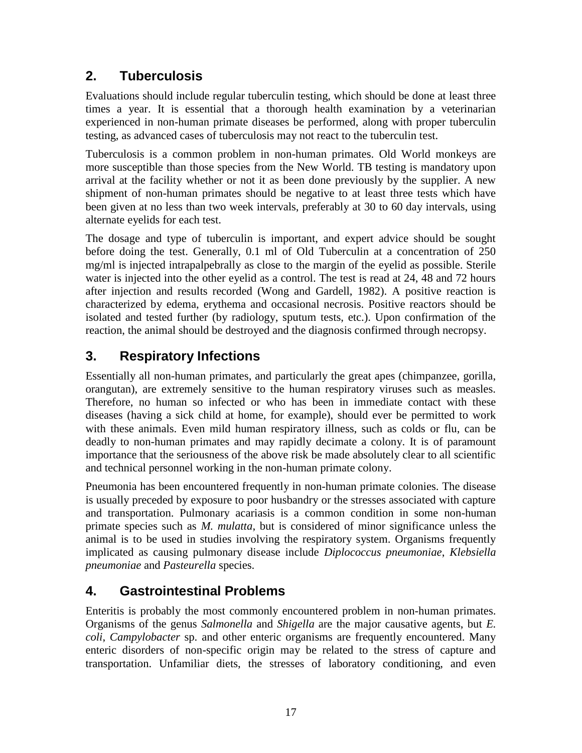#### **2. Tuberculosis**

Evaluations should include regular tuberculin testing, which should be done at least three times a year. It is essential that a thorough health examination by a veterinarian experienced in non-human primate diseases be performed, along with proper tuberculin testing, as advanced cases of tuberculosis may not react to the tuberculin test.

Tuberculosis is a common problem in non-human primates. Old World monkeys are more susceptible than those species from the New World. TB testing is mandatory upon arrival at the facility whether or not it as been done previously by the supplier. A new shipment of non-human primates should be negative to at least three tests which have been given at no less than two week intervals, preferably at 30 to 60 day intervals, using alternate eyelids for each test.

The dosage and type of tuberculin is important, and expert advice should be sought before doing the test. Generally, 0.1 ml of Old Tuberculin at a concentration of 250 mg/ml is injected intrapalpebrally as close to the margin of the eyelid as possible. Sterile water is injected into the other eyelid as a control. The test is read at 24, 48 and 72 hours after injection and results recorded (Wong and Gardell, 1982). A positive reaction is characterized by edema, erythema and occasional necrosis. Positive reactors should be isolated and tested further (by radiology, sputum tests, etc.). Upon confirmation of the reaction, the animal should be destroyed and the diagnosis confirmed through necropsy.

### **3. Respiratory Infections**

Essentially all non-human primates, and particularly the great apes (chimpanzee, gorilla, orangutan), are extremely sensitive to the human respiratory viruses such as measles. Therefore, no human so infected or who has been in immediate contact with these diseases (having a sick child at home, for example), should ever be permitted to work with these animals. Even mild human respiratory illness, such as colds or flu, can be deadly to non-human primates and may rapidly decimate a colony. It is of paramount importance that the seriousness of the above risk be made absolutely clear to all scientific and technical personnel working in the non-human primate colony.

Pneumonia has been encountered frequently in non-human primate colonies. The disease is usually preceded by exposure to poor husbandry or the stresses associated with capture and transportation. Pulmonary acariasis is a common condition in some non-human primate species such as *M. mulatta*, but is considered of minor significance unless the animal is to be used in studies involving the respiratory system. Organisms frequently implicated as causing pulmonary disease include *Diplococcus pneumoniae*, *Klebsiella pneumoniae* and *Pasteurella* species.

#### **4. Gastrointestinal Problems**

Enteritis is probably the most commonly encountered problem in non-human primates. Organisms of the genus *Salmonella* and *Shigella* are the major causative agents, but *E. coli*, *Campylobacter* sp. and other enteric organisms are frequently encountered. Many enteric disorders of non-specific origin may be related to the stress of capture and transportation. Unfamiliar diets, the stresses of laboratory conditioning, and even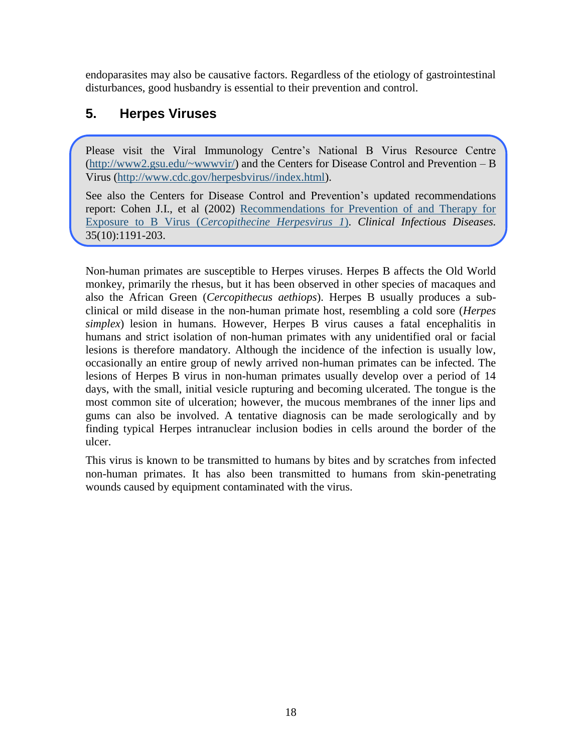endoparasites may also be causative factors. Regardless of the etiology of gastrointestinal disturbances, good husbandry is essential to their prevention and control.

#### **5. Herpes Viruses**

Please visit the Viral Immunology Centre's National B Virus Resource Centre [\(http://www2.gsu.edu/~wwwvir/\)](http://www2.gsu.edu/~wwwvir/) and the Centers for Disease Control and Prevention – B Virus [\(http://www.cdc.gov/herpesbvirus//index.html\)](http://www.cdc.gov/herpesbvirus/index.html).

See also the Centers for Disease Control and Prevention's updated recommendations report: Cohen J.I., et al (2002) [Recommendations for Prevention of and Therapy for](http://www.ncbi.nlm.nih.gov/pubmed/12410479?ordinalpos=10&itool=EntrezSystem2.PEntrez.Pubmed.Pubmed_ResultsPanel.Pubmed_DefaultReportPanel.Pubmed_RVDocSum)  Exposure to B Virus (*[Cercopithecine Herpesvirus 1](http://www.ncbi.nlm.nih.gov/pubmed/12410479?ordinalpos=10&itool=EntrezSystem2.PEntrez.Pubmed.Pubmed_ResultsPanel.Pubmed_DefaultReportPanel.Pubmed_RVDocSum)*). *Clinical Infectious Diseases.*  35(10):1191-203.

Non-human primates are susceptible to Herpes viruses. Herpes B affects the Old World monkey, primarily the rhesus, but it has been observed in other species of macaques and also the African Green (*Cercopithecus aethiops*). Herpes B usually produces a subclinical or mild disease in the non-human primate host, resembling a cold sore (*Herpes simplex*) lesion in humans. However, Herpes B virus causes a fatal encephalitis in humans and strict isolation of non-human primates with any unidentified oral or facial lesions is therefore mandatory. Although the incidence of the infection is usually low, occasionally an entire group of newly arrived non-human primates can be infected. The lesions of Herpes B virus in non-human primates usually develop over a period of 14 days, with the small, initial vesicle rupturing and becoming ulcerated. The tongue is the most common site of ulceration; however, the mucous membranes of the inner lips and gums can also be involved. A tentative diagnosis can be made serologically and by finding typical Herpes intranuclear inclusion bodies in cells around the border of the ulcer.

This virus is known to be transmitted to humans by bites and by scratches from infected non-human primates. It has also been transmitted to humans from skin-penetrating wounds caused by equipment contaminated with the virus.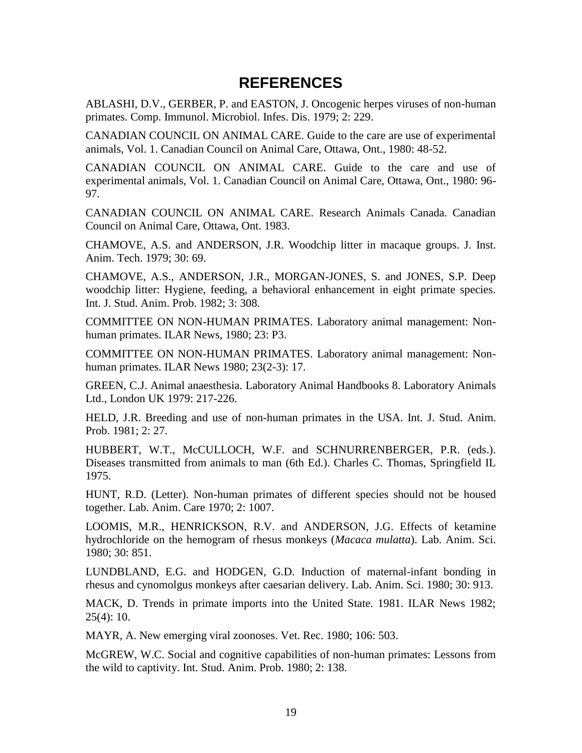#### **REFERENCES**

ABLASHI, D.V., GERBER, P. and EASTON, J. Oncogenic herpes viruses of non-human primates. Comp. Immunol. Microbiol. Infes. Dis. 1979; 2: 229.

CANADIAN COUNCIL ON ANIMAL CARE. Guide to the care are use of experimental animals, Vol. 1. Canadian Council on Animal Care, Ottawa, Ont., 1980: 48-52.

CANADIAN COUNCIL ON ANIMAL CARE. Guide to the care and use of experimental animals, Vol. 1. Canadian Council on Animal Care, Ottawa, Ont., 1980: 96- 97.

CANADIAN COUNCIL ON ANIMAL CARE. Research Animals Canada. Canadian Council on Animal Care, Ottawa, Ont. 1983.

CHAMOVE, A.S. and ANDERSON, J.R. Woodchip litter in macaque groups. J. Inst. Anim. Tech. 1979; 30: 69.

CHAMOVE, A.S., ANDERSON, J.R., MORGAN-JONES, S. and JONES, S.P. Deep woodchip litter: Hygiene, feeding, a behavioral enhancement in eight primate species. Int. J. Stud. Anim. Prob. 1982; 3: 308.

COMMITTEE ON NON-HUMAN PRIMATES. Laboratory animal management: Nonhuman primates. ILAR News, 1980; 23: P3.

COMMITTEE ON NON-HUMAN PRIMATES. Laboratory animal management: Nonhuman primates. ILAR News 1980; 23(2-3): 17.

GREEN, C.J. Animal anaesthesia. Laboratory Animal Handbooks 8. Laboratory Animals Ltd., London UK 1979: 217-226.

HELD, J.R. Breeding and use of non-human primates in the USA. Int. J. Stud. Anim. Prob. 1981; 2: 27.

HUBBERT, W.T., McCULLOCH, W.F. and SCHNURRENBERGER, P.R. (eds.). Diseases transmitted from animals to man (6th Ed.). Charles C. Thomas, Springfield IL 1975.

HUNT, R.D. (Letter). Non-human primates of different species should not be housed together. Lab. Anim. Care 1970; 2: 1007.

LOOMIS, M.R., HENRICKSON, R.V. and ANDERSON, J.G. Effects of ketamine hydrochloride on the hemogram of rhesus monkeys (*Macaca mulatta*). Lab. Anim. Sci. 1980; 30: 851.

LUNDBLAND, E.G. and HODGEN, G.D. Induction of maternal-infant bonding in rhesus and cynomolgus monkeys after caesarian delivery. Lab. Anim. Sci. 1980; 30: 913.

MACK, D. Trends in primate imports into the United State. 1981. ILAR News 1982;  $25(4): 10.$ 

MAYR, A. New emerging viral zoonoses. Vet. Rec. 1980; 106: 503.

McGREW, W.C. Social and cognitive capabilities of non-human primates: Lessons from the wild to captivity. Int. Stud. Anim. Prob. 1980; 2: 138.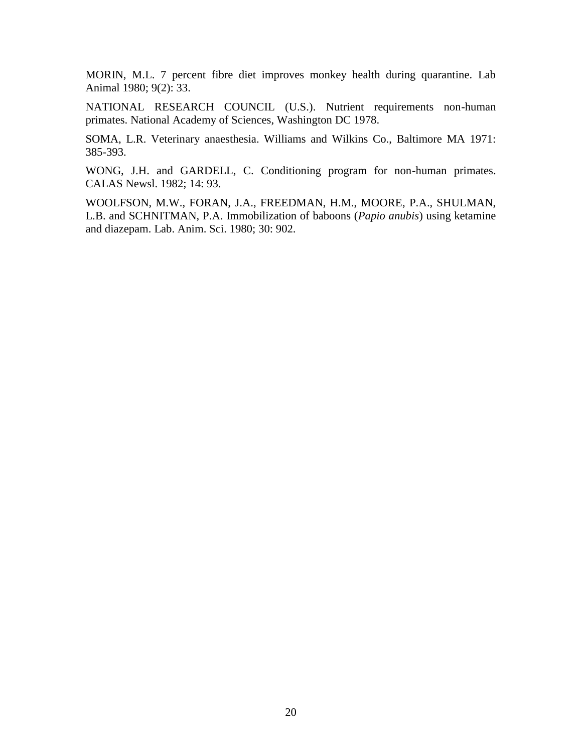MORIN, M.L. 7 percent fibre diet improves monkey health during quarantine. Lab Animal 1980; 9(2): 33.

NATIONAL RESEARCH COUNCIL (U.S.). Nutrient requirements non-human primates. National Academy of Sciences, Washington DC 1978.

SOMA, L.R. Veterinary anaesthesia. Williams and Wilkins Co., Baltimore MA 1971: 385-393.

WONG, J.H. and GARDELL, C. Conditioning program for non-human primates. CALAS Newsl. 1982; 14: 93.

WOOLFSON, M.W., FORAN, J.A., FREEDMAN, H.M., MOORE, P.A., SHULMAN, L.B. and SCHNITMAN, P.A. Immobilization of baboons (*Papio anubis*) using ketamine and diazepam. Lab. Anim. Sci. 1980; 30: 902.